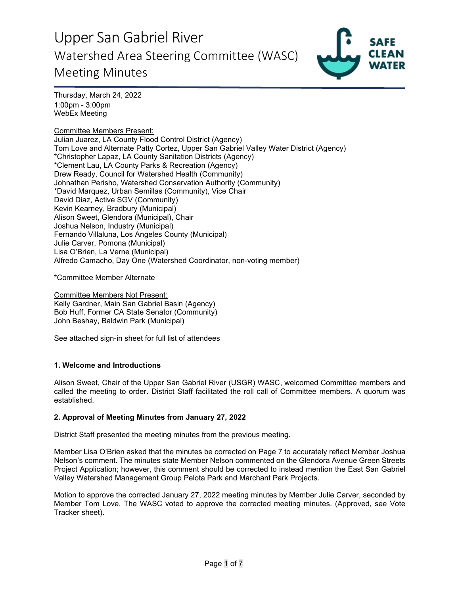

Thursday, March 24, 2022 1:00pm - 3:00pm WebEx Meeting

#### Committee Members Present:

Julian Juarez, LA County Flood Control District (Agency) Tom Love and Alternate Patty Cortez, Upper San Gabriel Valley Water District (Agency) \*Christopher Lapaz, LA County Sanitation Districts (Agency) \*Clement Lau, LA County Parks & Recreation (Agency) Drew Ready, Council for Watershed Health (Community) Johnathan Perisho, Watershed Conservation Authority (Community) \*David Marquez, Urban Semillas (Community), Vice Chair David Diaz, Active SGV (Community) Kevin Kearney, Bradbury (Municipal) Alison Sweet, Glendora (Municipal), Chair Joshua Nelson, Industry (Municipal) Fernando Villaluna, Los Angeles County (Municipal) Julie Carver, Pomona (Municipal) Lisa O'Brien, La Verne (Municipal) Alfredo Camacho, Day One (Watershed Coordinator, non-voting member)

\*Committee Member Alternate

Committee Members Not Present: Kelly Gardner, Main San Gabriel Basin (Agency) Bob Huff, Former CA State Senator (Community) John Beshay, Baldwin Park (Municipal)

See attached sign-in sheet for full list of attendees

### **1. Welcome and Introductions**

Alison Sweet, Chair of the Upper San Gabriel River (USGR) WASC, welcomed Committee members and called the meeting to order. District Staff facilitated the roll call of Committee members. A quorum was established.

### **2. Approval of Meeting Minutes from January 27, 2022**

District Staff presented the meeting minutes from the previous meeting.

Member Lisa O'Brien asked that the minutes be corrected on Page 7 to accurately reflect Member Joshua Nelson's comment. The minutes state Member Nelson commented on the Glendora Avenue Green Streets Project Application; however, this comment should be corrected to instead mention the East San Gabriel Valley Watershed Management Group Pelota Park and Marchant Park Projects.

Motion to approve the corrected January 27, 2022 meeting minutes by Member Julie Carver, seconded by Member Tom Love. The WASC voted to approve the corrected meeting minutes. (Approved, see Vote Tracker sheet).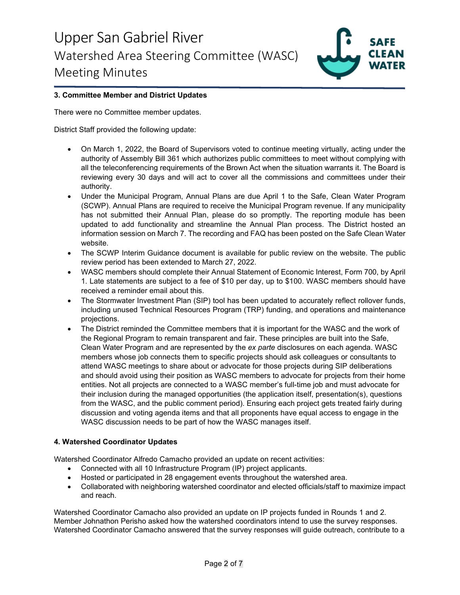

### **3. Committee Member and District Updates**

There were no Committee member updates.

District Staff provided the following update:

- On March 1, 2022, the Board of Supervisors voted to continue meeting virtually, acting under the authority of Assembly Bill 361 which authorizes public committees to meet without complying with all the teleconferencing requirements of the Brown Act when the situation warrants it. The Board is reviewing every 30 days and will act to cover all the commissions and committees under their authority.
- Under the Municipal Program, Annual Plans are due April 1 to the Safe, Clean Water Program (SCWP). Annual Plans are required to receive the Municipal Program revenue. If any municipality has not submitted their Annual Plan, please do so promptly. The reporting module has been updated to add functionality and streamline the Annual Plan process. The District hosted an information session on March 7. The recording and FAQ has been posted on the Safe Clean Water website.
- The SCWP Interim Guidance document is available for public review on the website. The public review period has been extended to March 27, 2022.
- WASC members should complete their Annual Statement of Economic Interest, Form 700, by April 1. Late statements are subject to a fee of \$10 per day, up to \$100. WASC members should have received a reminder email about this.
- The Stormwater Investment Plan (SIP) tool has been updated to accurately reflect rollover funds, including unused Technical Resources Program (TRP) funding, and operations and maintenance projections.
- The District reminded the Committee members that it is important for the WASC and the work of the Regional Program to remain transparent and fair. These principles are built into the Safe, Clean Water Program and are represented by the *ex parte* disclosures on each agenda. WASC members whose job connects them to specific projects should ask colleagues or consultants to attend WASC meetings to share about or advocate for those projects during SIP deliberations and should avoid using their position as WASC members to advocate for projects from their home entities. Not all projects are connected to a WASC member's full-time job and must advocate for their inclusion during the managed opportunities (the application itself, presentation(s), questions from the WASC, and the public comment period). Ensuring each project gets treated fairly during discussion and voting agenda items and that all proponents have equal access to engage in the WASC discussion needs to be part of how the WASC manages itself.

### **4. Watershed Coordinator Updates**

Watershed Coordinator Alfredo Camacho provided an update on recent activities:

- Connected with all 10 Infrastructure Program (IP) project applicants.
- Hosted or participated in 28 engagement events throughout the watershed area.
- Collaborated with neighboring watershed coordinator and elected officials/staff to maximize impact and reach.

Watershed Coordinator Camacho also provided an update on IP projects funded in Rounds 1 and 2. Member Johnathon Perisho asked how the watershed coordinators intend to use the survey responses. Watershed Coordinator Camacho answered that the survey responses will guide outreach, contribute to a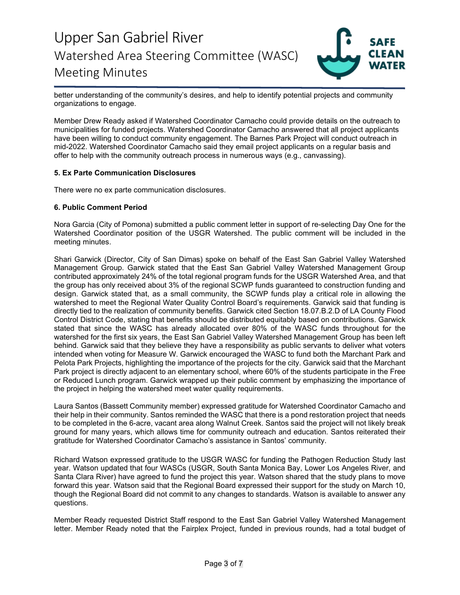

better understanding of the community's desires, and help to identify potential projects and community organizations to engage.

Member Drew Ready asked if Watershed Coordinator Camacho could provide details on the outreach to municipalities for funded projects. Watershed Coordinator Camacho answered that all project applicants have been willing to conduct community engagement. The Barnes Park Project will conduct outreach in mid-2022. Watershed Coordinator Camacho said they email project applicants on a regular basis and offer to help with the community outreach process in numerous ways (e.g., canvassing).

#### **5. Ex Parte Communication Disclosures**

There were no ex parte communication disclosures.

#### **6. Public Comment Period**

Nora Garcia (City of Pomona) submitted a public comment letter in support of re-selecting Day One for the Watershed Coordinator position of the USGR Watershed. The public comment will be included in the meeting minutes.

Shari Garwick (Director, City of San Dimas) spoke on behalf of the East San Gabriel Valley Watershed Management Group. Garwick stated that the East San Gabriel Valley Watershed Management Group contributed approximately 24% of the total regional program funds for the USGR Watershed Area, and that the group has only received about 3% of the regional SCWP funds guaranteed to construction funding and design. Garwick stated that, as a small community, the SCWP funds play a critical role in allowing the watershed to meet the Regional Water Quality Control Board's requirements. Garwick said that funding is directly tied to the realization of community benefits. Garwick cited Section 18.07.B.2.D of LA County Flood Control District Code, stating that benefits should be distributed equitably based on contributions. Garwick stated that since the WASC has already allocated over 80% of the WASC funds throughout for the watershed for the first six years, the East San Gabriel Valley Watershed Management Group has been left behind. Garwick said that they believe they have a responsibility as public servants to deliver what voters intended when voting for Measure W. Garwick encouraged the WASC to fund both the Marchant Park and Pelota Park Projects, highlighting the importance of the projects for the city. Garwick said that the Marchant Park project is directly adjacent to an elementary school, where 60% of the students participate in the Free or Reduced Lunch program. Garwick wrapped up their public comment by emphasizing the importance of the project in helping the watershed meet water quality requirements.

Laura Santos (Bassett Community member) expressed gratitude for Watershed Coordinator Camacho and their help in their community. Santos reminded the WASC that there is a pond restoration project that needs to be completed in the 6-acre, vacant area along Walnut Creek. Santos said the project will not likely break ground for many years, which allows time for community outreach and education. Santos reiterated their gratitude for Watershed Coordinator Camacho's assistance in Santos' community.

Richard Watson expressed gratitude to the USGR WASC for funding the Pathogen Reduction Study last year. Watson updated that four WASCs (USGR, South Santa Monica Bay, Lower Los Angeles River, and Santa Clara River) have agreed to fund the project this year. Watson shared that the study plans to move forward this year. Watson said that the Regional Board expressed their support for the study on March 10, though the Regional Board did not commit to any changes to standards. Watson is available to answer any questions.

Member Ready requested District Staff respond to the East San Gabriel Valley Watershed Management letter. Member Ready noted that the Fairplex Project, funded in previous rounds, had a total budget of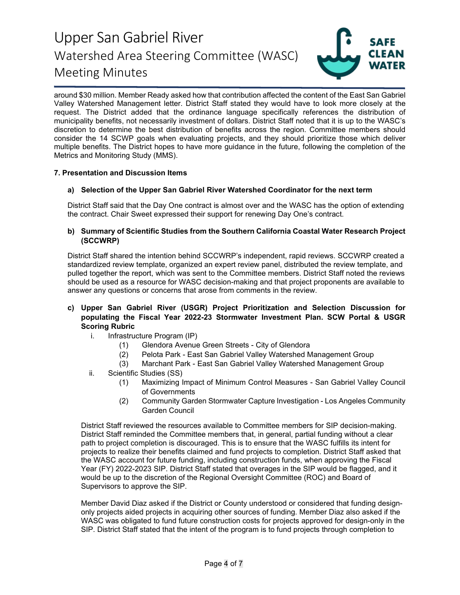

around \$30 million. Member Ready asked how that contribution affected the content of the East San Gabriel Valley Watershed Management letter. District Staff stated they would have to look more closely at the request. The District added that the ordinance language specifically references the distribution of municipality benefits, not necessarily investment of dollars. District Staff noted that it is up to the WASC's discretion to determine the best distribution of benefits across the region. Committee members should consider the 14 SCWP goals when evaluating projects, and they should prioritize those which deliver multiple benefits. The District hopes to have more guidance in the future, following the completion of the Metrics and Monitoring Study (MMS).

### **7. Presentation and Discussion Items**

### **a) Selection of the Upper San Gabriel River Watershed Coordinator for the next term**

District Staff said that the Day One contract is almost over and the WASC has the option of extending the contract. Chair Sweet expressed their support for renewing Day One's contract.

### **b) Summary of Scientific Studies from the Southern California Coastal Water Research Project (SCCWRP)**

District Staff shared the intention behind SCCWRP's independent, rapid reviews. SCCWRP created a standardized review template, organized an expert review panel, distributed the review template, and pulled together the report, which was sent to the Committee members. District Staff noted the reviews should be used as a resource for WASC decision-making and that project proponents are available to answer any questions or concerns that arose from comments in the review.

- **c) Upper San Gabriel River (USGR) Project Prioritization and Selection Discussion for populating the Fiscal Year 2022-23 Stormwater Investment Plan. SCW Portal & USGR Scoring Rubric**
	- i. Infrastructure Program (IP)
		- (1) Glendora Avenue Green Streets City of Glendora
		- (2) Pelota Park East San Gabriel Valley Watershed Management Group
		- (3) Marchant Park East San Gabriel Valley Watershed Management Group
	- ii. Scientific Studies (SS)
		- (1) Maximizing Impact of Minimum Control Measures San Gabriel Valley Council of Governments
		- (2) Community Garden Stormwater Capture Investigation Los Angeles Community Garden Council

District Staff reviewed the resources available to Committee members for SIP decision-making. District Staff reminded the Committee members that, in general, partial funding without a clear path to project completion is discouraged. This is to ensure that the WASC fulfills its intent for projects to realize their benefits claimed and fund projects to completion. District Staff asked that the WASC account for future funding, including construction funds, when approving the Fiscal Year (FY) 2022-2023 SIP. District Staff stated that overages in the SIP would be flagged, and it would be up to the discretion of the Regional Oversight Committee (ROC) and Board of Supervisors to approve the SIP.

Member David Diaz asked if the District or County understood or considered that funding designonly projects aided projects in acquiring other sources of funding. Member Diaz also asked if the WASC was obligated to fund future construction costs for projects approved for design-only in the SIP. District Staff stated that the intent of the program is to fund projects through completion to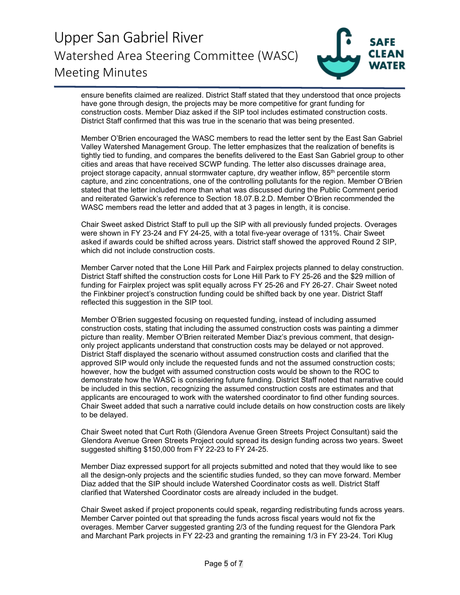

ensure benefits claimed are realized. District Staff stated that they understood that once projects have gone through design, the projects may be more competitive for grant funding for construction costs. Member Diaz asked if the SIP tool includes estimated construction costs. District Staff confirmed that this was true in the scenario that was being presented.

Member O'Brien encouraged the WASC members to read the letter sent by the East San Gabriel Valley Watershed Management Group. The letter emphasizes that the realization of benefits is tightly tied to funding, and compares the benefits delivered to the East San Gabriel group to other cities and areas that have received SCWP funding. The letter also discusses drainage area, project storage capacity, annual stormwater capture, dry weather inflow, 85<sup>th</sup> percentile storm capture, and zinc concentrations, one of the controlling pollutants for the region. Member O'Brien stated that the letter included more than what was discussed during the Public Comment period and reiterated Garwick's reference to Section 18.07.B.2.D. Member O'Brien recommended the WASC members read the letter and added that at 3 pages in length, it is concise.

Chair Sweet asked District Staff to pull up the SIP with all previously funded projects. Overages were shown in FY 23-24 and FY 24-25, with a total five-year overage of 131%. Chair Sweet asked if awards could be shifted across years. District staff showed the approved Round 2 SIP, which did not include construction costs.

Member Carver noted that the Lone Hill Park and Fairplex projects planned to delay construction. District Staff shifted the construction costs for Lone Hill Park to FY 25-26 and the \$29 million of funding for Fairplex project was split equally across FY 25-26 and FY 26-27. Chair Sweet noted the Finkbiner project's construction funding could be shifted back by one year. District Staff reflected this suggestion in the SIP tool.

Member O'Brien suggested focusing on requested funding, instead of including assumed construction costs, stating that including the assumed construction costs was painting a dimmer picture than reality. Member O'Brien reiterated Member Diaz's previous comment, that designonly project applicants understand that construction costs may be delayed or not approved. District Staff displayed the scenario without assumed construction costs and clarified that the approved SIP would only include the requested funds and not the assumed construction costs; however, how the budget with assumed construction costs would be shown to the ROC to demonstrate how the WASC is considering future funding. District Staff noted that narrative could be included in this section, recognizing the assumed construction costs are estimates and that applicants are encouraged to work with the watershed coordinator to find other funding sources. Chair Sweet added that such a narrative could include details on how construction costs are likely to be delayed.

Chair Sweet noted that Curt Roth (Glendora Avenue Green Streets Project Consultant) said the Glendora Avenue Green Streets Project could spread its design funding across two years. Sweet suggested shifting \$150,000 from FY 22-23 to FY 24-25.

Member Diaz expressed support for all projects submitted and noted that they would like to see all the design-only projects and the scientific studies funded, so they can move forward. Member Diaz added that the SIP should include Watershed Coordinator costs as well. District Staff clarified that Watershed Coordinator costs are already included in the budget.

Chair Sweet asked if project proponents could speak, regarding redistributing funds across years. Member Carver pointed out that spreading the funds across fiscal years would not fix the overages. Member Carver suggested granting 2/3 of the funding request for the Glendora Park and Marchant Park projects in FY 22-23 and granting the remaining 1/3 in FY 23-24. Tori Klug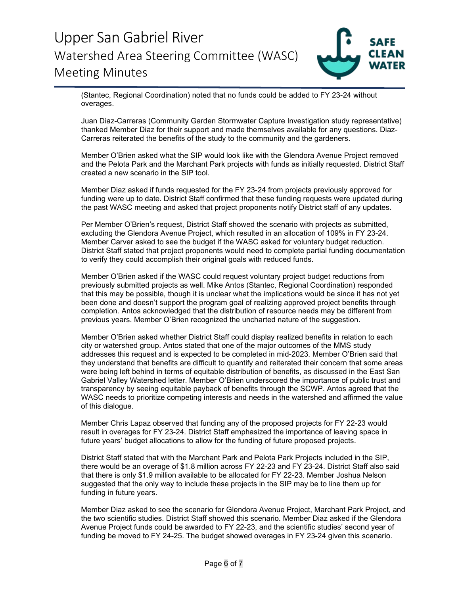

(Stantec, Regional Coordination) noted that no funds could be added to FY 23-24 without overages.

Juan Diaz-Carreras (Community Garden Stormwater Capture Investigation study representative) thanked Member Diaz for their support and made themselves available for any questions. Diaz-Carreras reiterated the benefits of the study to the community and the gardeners.

Member O'Brien asked what the SIP would look like with the Glendora Avenue Project removed and the Pelota Park and the Marchant Park projects with funds as initially requested. District Staff created a new scenario in the SIP tool.

Member Diaz asked if funds requested for the FY 23-24 from projects previously approved for funding were up to date. District Staff confirmed that these funding requests were updated during the past WASC meeting and asked that project proponents notify District staff of any updates.

Per Member O'Brien's request, District Staff showed the scenario with projects as submitted, excluding the Glendora Avenue Project, which resulted in an allocation of 109% in FY 23-24. Member Carver asked to see the budget if the WASC asked for voluntary budget reduction. District Staff stated that project proponents would need to complete partial funding documentation to verify they could accomplish their original goals with reduced funds.

Member O'Brien asked if the WASC could request voluntary project budget reductions from previously submitted projects as well. Mike Antos (Stantec, Regional Coordination) responded that this may be possible, though it is unclear what the implications would be since it has not yet been done and doesn't support the program goal of realizing approved project benefits through completion. Antos acknowledged that the distribution of resource needs may be different from previous years. Member O'Brien recognized the uncharted nature of the suggestion.

Member O'Brien asked whether District Staff could display realized benefits in relation to each city or watershed group. Antos stated that one of the major outcomes of the MMS study addresses this request and is expected to be completed in mid-2023. Member O'Brien said that they understand that benefits are difficult to quantify and reiterated their concern that some areas were being left behind in terms of equitable distribution of benefits, as discussed in the East San Gabriel Valley Watershed letter. Member O'Brien underscored the importance of public trust and transparency by seeing equitable payback of benefits through the SCWP. Antos agreed that the WASC needs to prioritize competing interests and needs in the watershed and affirmed the value of this dialogue.

Member Chris Lapaz observed that funding any of the proposed projects for FY 22-23 would result in overages for FY 23-24. District Staff emphasized the importance of leaving space in future years' budget allocations to allow for the funding of future proposed projects.

District Staff stated that with the Marchant Park and Pelota Park Projects included in the SIP, there would be an overage of \$1.8 million across FY 22-23 and FY 23-24. District Staff also said that there is only \$1.9 million available to be allocated for FY 22-23. Member Joshua Nelson suggested that the only way to include these projects in the SIP may be to line them up for funding in future years.

Member Diaz asked to see the scenario for Glendora Avenue Project, Marchant Park Project, and the two scientific studies. District Staff showed this scenario. Member Diaz asked if the Glendora Avenue Project funds could be awarded to FY 22-23, and the scientific studies' second year of funding be moved to FY 24-25. The budget showed overages in FY 23-24 given this scenario.